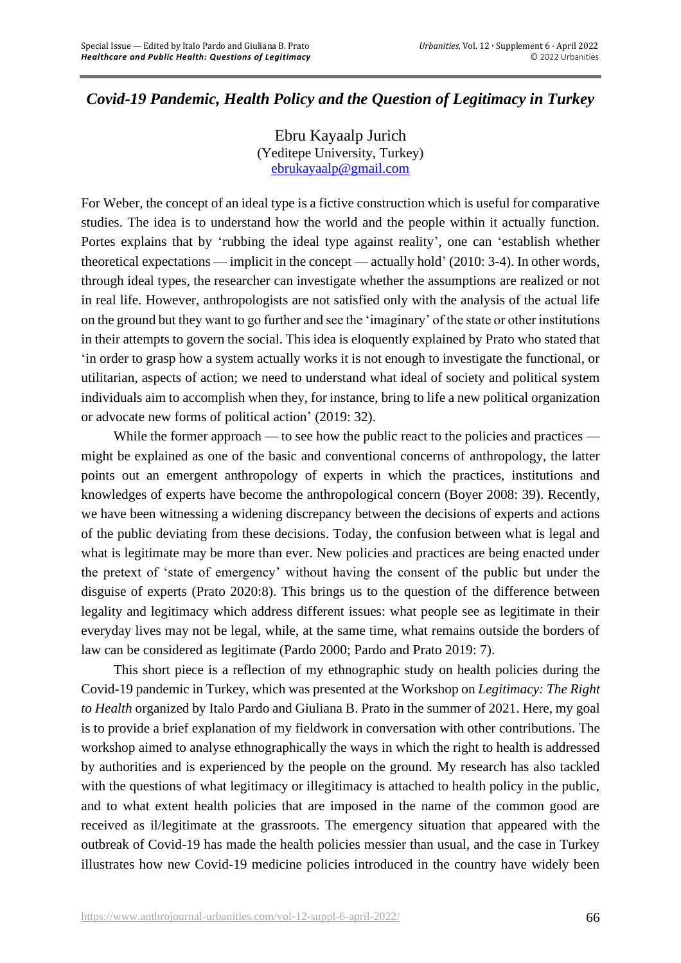## *Covid-19 Pandemic, Health Policy and the Question of Legitimacy in Turkey*

Ebru Kayaalp Jurich (Yeditepe University, Turkey) [ebrukayaalp@gmail.com](mailto:ebrukayaalp@gmail.com)

For Weber, the concept of an ideal type is a fictive construction which is useful for comparative studies. The idea is to understand how the world and the people within it actually function. Portes explains that by 'rubbing the ideal type against reality', one can 'establish whether theoretical expectations — implicit in the concept — actually hold' (2010: 3-4). In other words, through ideal types, the researcher can investigate whether the assumptions are realized or not in real life. However, anthropologists are not satisfied only with the analysis of the actual life on the ground but they want to go further and see the 'imaginary' of the state or other institutions in their attempts to govern the social. This idea is eloquently explained by Prato who stated that 'in order to grasp how a system actually works it is not enough to investigate the functional, or utilitarian, aspects of action; we need to understand what ideal of society and political system individuals aim to accomplish when they, for instance, bring to life a new political organization or advocate new forms of political action' (2019: 32).

While the former approach — to see how the public react to the policies and practices might be explained as one of the basic and conventional concerns of anthropology, the latter points out an emergent anthropology of experts in which the practices, institutions and knowledges of experts have become the anthropological concern (Boyer 2008: 39). Recently, we have been witnessing a widening discrepancy between the decisions of experts and actions of the public deviating from these decisions. Today, the confusion between what is legal and what is legitimate may be more than ever. New policies and practices are being enacted under the pretext of 'state of emergency' without having the consent of the public but under the disguise of experts (Prato 2020:8). This brings us to the question of the difference between legality and legitimacy which address different issues: what people see as legitimate in their everyday lives may not be legal, while, at the same time, what remains outside the borders of law can be considered as legitimate (Pardo 2000; Pardo and Prato 2019: 7).

This short piece is a reflection of my ethnographic study on health policies during the Covid-19 pandemic in Turkey, which was presented at the Workshop on *Legitimacy: The Right to Health* organized by Italo Pardo and Giuliana B. Prato in the summer of 2021. Here, my goal is to provide a brief explanation of my fieldwork in conversation with other contributions. The workshop aimed to analyse ethnographically the ways in which the right to health is addressed by authorities and is experienced by the people on the ground. My research has also tackled with the questions of what legitimacy or illegitimacy is attached to health policy in the public, and to what extent health policies that are imposed in the name of the common good are received as il/legitimate at the grassroots. The emergency situation that appeared with the outbreak of Covid-19 has made the health policies messier than usual, and the case in Turkey illustrates how new Covid-19 medicine policies introduced in the country have widely been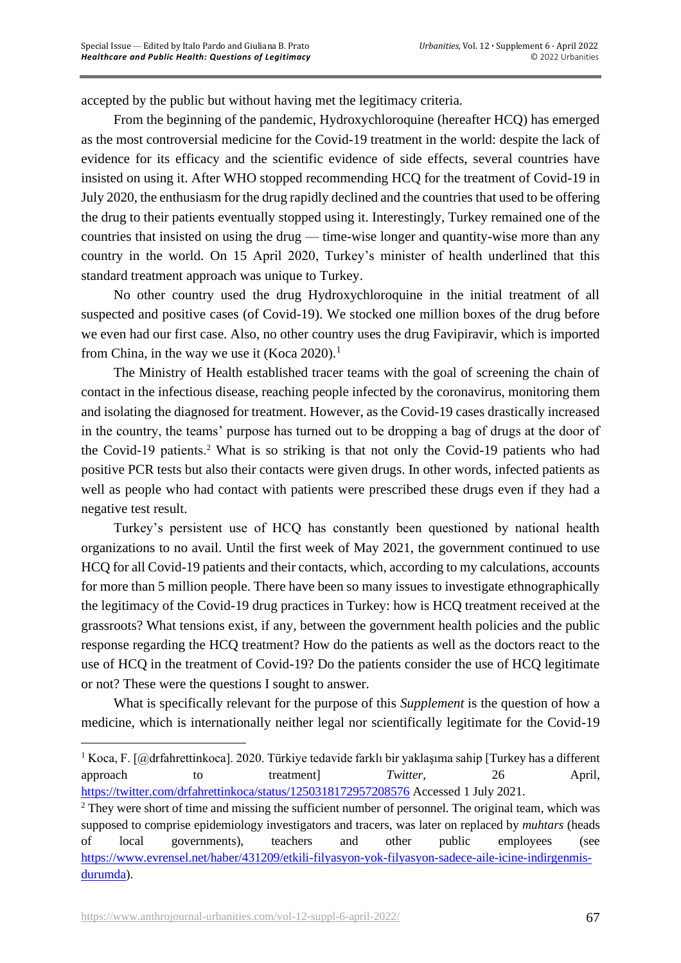accepted by the public but without having met the legitimacy criteria.

From the beginning of the pandemic, Hydroxychloroquine (hereafter HCQ) has emerged as the most controversial medicine for the Covid-19 treatment in the world: despite the lack of evidence for its efficacy and the scientific evidence of side effects, several countries have insisted on using it. After WHO stopped recommending HCQ for the treatment of Covid-19 in July 2020, the enthusiasm for the drug rapidly declined and the countries that used to be offering the drug to their patients eventually stopped using it. Interestingly, Turkey remained one of the countries that insisted on using the drug — time-wise longer and quantity-wise more than any country in the world. On 15 April 2020, Turkey's minister of health underlined that this standard treatment approach was unique to Turkey.

No other country used the drug Hydroxychloroquine in the initial treatment of all suspected and positive cases (of Covid-19). We stocked one million boxes of the drug before we even had our first case. Also, no other country uses the drug Favipiravir, which is imported from China, in the way we use it (Koca 2020).<sup>1</sup>

The Ministry of Health established tracer teams with the goal of screening the chain of contact in the infectious disease, reaching people infected by the coronavirus, monitoring them and isolating the diagnosed for treatment. However, as the Covid-19 cases drastically increased in the country, the teams' purpose has turned out to be dropping a bag of drugs at the door of the Covid-19 patients.<sup>2</sup> What is so striking is that not only the Covid-19 patients who had positive PCR tests but also their contacts were given drugs. In other words, infected patients as well as people who had contact with patients were prescribed these drugs even if they had a negative test result.

Turkey's persistent use of HCQ has constantly been questioned by national health organizations to no avail. Until the first week of May 2021, the government continued to use HCQ for all Covid-19 patients and their contacts, which, according to my calculations, accounts for more than 5 million people. There have been so many issues to investigate ethnographically the legitimacy of the Covid-19 drug practices in Turkey: how is HCQ treatment received at the grassroots? What tensions exist, if any, between the government health policies and the public response regarding the HCQ treatment? How do the patients as well as the doctors react to the use of HCQ in the treatment of Covid-19? Do the patients consider the use of HCQ legitimate or not? These were the questions I sought to answer.

What is specifically relevant for the purpose of this *Supplement* is the question of how a medicine, which is internationally neither legal nor scientifically legitimate for the Covid-19

<sup>&</sup>lt;sup>1</sup> Koca, F. [@drfahrettinkoca]. 2020. Türkiye tedavide farklı bir yaklaşıma sahip [Turkey has a different approach to treatment] *Twitter*, 26 April, <https://twitter.com/drfahrettinkoca/status/1250318172957208576> Accessed 1 July 2021.

<sup>&</sup>lt;sup>2</sup> They were short of time and missing the sufficient number of personnel. The original team, which was supposed to comprise epidemiology investigators and tracers, was later on replaced by *muhtars* (heads of local governments), teachers and other public employees (see [https://www.evrensel.net/haber/431209/etkili-filyasyon-yok-filyasyon-sadece-aile-icine-indirgenmis](https://www.evrensel.net/haber/431209/etkili-filyasyon-yok-filyasyon-sadece-aile-icine-indirgenmis-durumda)[durumda\)](https://www.evrensel.net/haber/431209/etkili-filyasyon-yok-filyasyon-sadece-aile-icine-indirgenmis-durumda).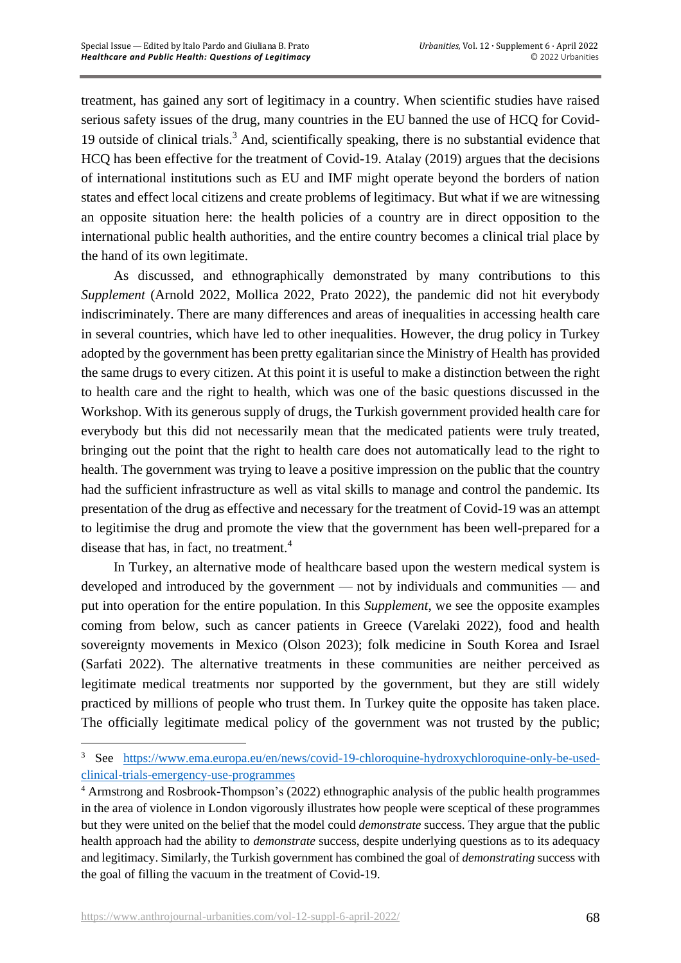treatment, has gained any sort of legitimacy in a country. When scientific studies have raised serious safety issues of the drug, many countries in the EU banned the use of HCQ for Covid-19 outside of clinical trials.<sup>3</sup> And, scientifically speaking, there is no substantial evidence that HCQ has been effective for the treatment of Covid-19. Atalay (2019) argues that the decisions of international institutions such as EU and IMF might operate beyond the borders of nation states and effect local citizens and create problems of legitimacy. But what if we are witnessing an opposite situation here: the health policies of a country are in direct opposition to the international public health authorities, and the entire country becomes a clinical trial place by the hand of its own legitimate.

As discussed, and ethnographically demonstrated by many contributions to this *Supplement* (Arnold 2022, Mollica 2022, Prato 2022), the pandemic did not hit everybody indiscriminately. There are many differences and areas of inequalities in accessing health care in several countries, which have led to other inequalities. However, the drug policy in Turkey adopted by the government has been pretty egalitarian since the Ministry of Health has provided the same drugs to every citizen. At this point it is useful to make a distinction between the right to health care and the right to health, which was one of the basic questions discussed in the Workshop. With its generous supply of drugs, the Turkish government provided health care for everybody but this did not necessarily mean that the medicated patients were truly treated, bringing out the point that the right to health care does not automatically lead to the right to health. The government was trying to leave a positive impression on the public that the country had the sufficient infrastructure as well as vital skills to manage and control the pandemic. Its presentation of the drug as effective and necessary for the treatment of Covid-19 was an attempt to legitimise the drug and promote the view that the government has been well-prepared for a disease that has, in fact, no treatment.<sup>4</sup>

In Turkey, an alternative mode of healthcare based upon the western medical system is developed and introduced by the government — not by individuals and communities — and put into operation for the entire population. In this *Supplement*, we see the opposite examples coming from below, such as cancer patients in Greece (Varelaki 2022), food and health sovereignty movements in Mexico (Olson 2023); folk medicine in South Korea and Israel (Sarfati 2022). The alternative treatments in these communities are neither perceived as legitimate medical treatments nor supported by the government, but they are still widely practiced by millions of people who trust them. In Turkey quite the opposite has taken place. The officially legitimate medical policy of the government was not trusted by the public;

<sup>&</sup>lt;sup>3</sup> See [https://www.ema.europa.eu/en/news/covid-19-chloroquine-hydroxychloroquine-only-be-used](https://www.ema.europa.eu/en/news/covid-19-chloroquine-hydroxychloroquine-only-be-used-clinical-trials-emergency-use-programmes)[clinical-trials-emergency-use-programmes](https://www.ema.europa.eu/en/news/covid-19-chloroquine-hydroxychloroquine-only-be-used-clinical-trials-emergency-use-programmes)

<sup>4</sup> Armstrong and Rosbrook-Thompson's (2022) ethnographic analysis of the public health programmes in the area of violence in London vigorously illustrates how people were sceptical of these programmes but they were united on the belief that the model could *demonstrate* success. They argue that the public health approach had the ability to *demonstrate* success, despite underlying questions as to its adequacy and legitimacy. Similarly, the Turkish government has combined the goal of *demonstrating* success with the goal of filling the vacuum in the treatment of Covid-19.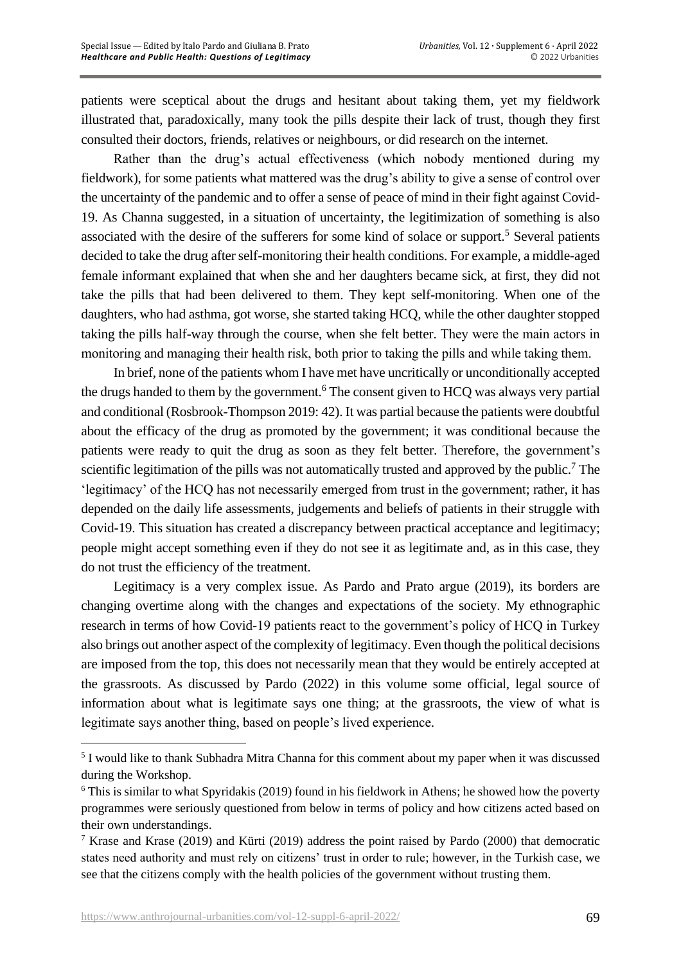patients were sceptical about the drugs and hesitant about taking them, yet my fieldwork illustrated that, paradoxically, many took the pills despite their lack of trust, though they first consulted their doctors, friends, relatives or neighbours, or did research on the internet.

Rather than the drug's actual effectiveness (which nobody mentioned during my fieldwork), for some patients what mattered was the drug's ability to give a sense of control over the uncertainty of the pandemic and to offer a sense of peace of mind in their fight against Covid-19. As Channa suggested, in a situation of uncertainty, the legitimization of something is also associated with the desire of the sufferers for some kind of solace or support.<sup>5</sup> Several patients decided to take the drug after self-monitoring their health conditions. For example, a middle-aged female informant explained that when she and her daughters became sick, at first, they did not take the pills that had been delivered to them. They kept self-monitoring. When one of the daughters, who had asthma, got worse, she started taking HCQ, while the other daughter stopped taking the pills half-way through the course, when she felt better. They were the main actors in monitoring and managing their health risk, both prior to taking the pills and while taking them.

In brief, none of the patients whom I have met have uncritically or unconditionally accepted the drugs handed to them by the government.<sup>6</sup> The consent given to HCQ was always very partial and conditional (Rosbrook-Thompson 2019: 42). It was partial because the patients were doubtful about the efficacy of the drug as promoted by the government; it was conditional because the patients were ready to quit the drug as soon as they felt better. Therefore, the government's scientific legitimation of the pills was not automatically trusted and approved by the public.<sup>7</sup> The 'legitimacy' of the HCQ has not necessarily emerged from trust in the government; rather, it has depended on the daily life assessments, judgements and beliefs of patients in their struggle with Covid-19. This situation has created a discrepancy between practical acceptance and legitimacy; people might accept something even if they do not see it as legitimate and, as in this case, they do not trust the efficiency of the treatment.

Legitimacy is a very complex issue. As Pardo and Prato argue (2019), its borders are changing overtime along with the changes and expectations of the society. My ethnographic research in terms of how Covid-19 patients react to the government's policy of HCQ in Turkey also brings out another aspect of the complexity of legitimacy. Even though the political decisions are imposed from the top, this does not necessarily mean that they would be entirely accepted at the grassroots. As discussed by Pardo (2022) in this volume some official, legal source of information about what is legitimate says one thing; at the grassroots, the view of what is legitimate says another thing, based on people's lived experience.

<sup>&</sup>lt;sup>5</sup> I would like to thank Subhadra Mitra Channa for this comment about my paper when it was discussed during the Workshop.

<sup>6</sup> This is similar to what Spyridakis (2019) found in his fieldwork in Athens; he showed how the poverty programmes were seriously questioned from below in terms of policy and how citizens acted based on their own understandings.

<sup>&</sup>lt;sup>7</sup> Krase and Krase (2019) and Kürti (2019) address the point raised by Pardo (2000) that democratic states need authority and must rely on citizens' trust in order to rule; however, in the Turkish case, we see that the citizens comply with the health policies of the government without trusting them.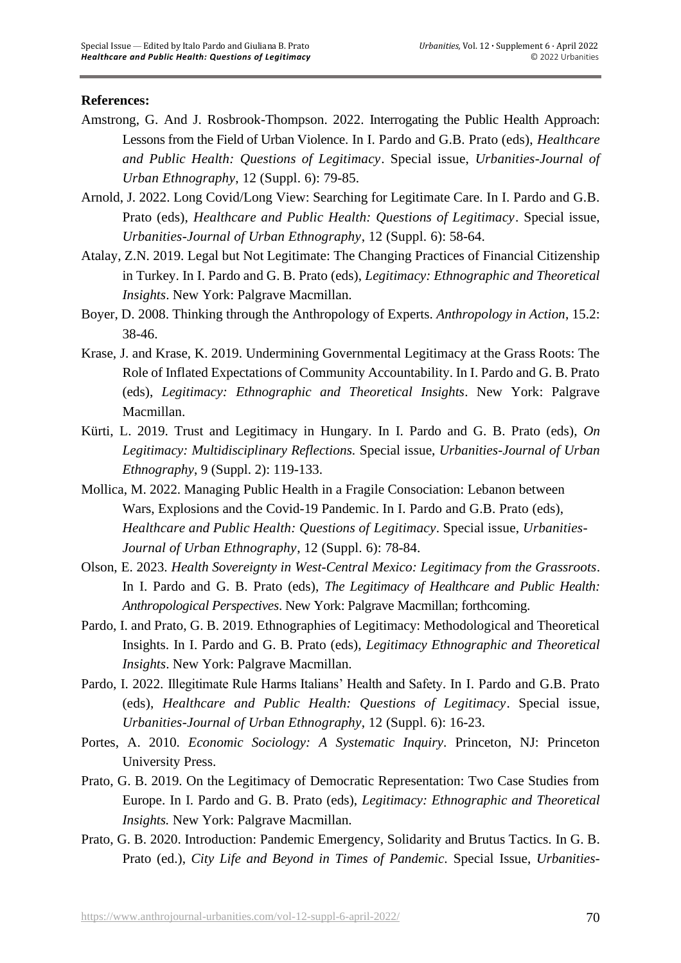## **References:**

- Amstrong, G. And J. Rosbrook-Thompson. 2022. Interrogating the Public Health Approach: Lessons from the Field of Urban Violence. In I. Pardo and G.B. Prato (eds), *Healthcare and Public Health: Questions of Legitimacy*. Special issue, *Urbanities-Journal of Urban Ethnography*, 12 (Suppl. 6): 79-85.
- Arnold, J. 2022. Long Covid/Long View: Searching for Legitimate Care. In I. Pardo and G.B. Prato (eds), *Healthcare and Public Health: Questions of Legitimacy*. Special issue, *Urbanities-Journal of Urban Ethnography*, 12 (Suppl. 6): 58-64.
- Atalay, Z.N. 2019. Legal but Not Legitimate: The Changing Practices of Financial Citizenship in Turkey. In I. Pardo and G. B. Prato (eds), *Legitimacy: Ethnographic and Theoretical Insights*. New York: Palgrave Macmillan.
- Boyer, D. 2008. Thinking through the Anthropology of Experts. *Anthropology in Action*, 15.2: 38-46.
- Krase, J. and Krase, K. 2019. Undermining Governmental Legitimacy at the Grass Roots: The Role of Inflated Expectations of Community Accountability. In I. Pardo and G. B. Prato (eds), *Legitimacy: Ethnographic and Theoretical Insights*. New York: Palgrave Macmillan.
- Kürti, L. 2019. Trust and Legitimacy in Hungary. In I. Pardo and G. B. Prato (eds), *On Legitimacy: Multidisciplinary Reflections.* Special issue, *Urbanities-Journal of Urban Ethnography*, 9 (Suppl. 2): 119-133.
- Mollica, M. 2022. Managing Public Health in a Fragile Consociation: Lebanon between Wars, Explosions and the Covid-19 Pandemic. In I. Pardo and G.B. Prato (eds), *Healthcare and Public Health: Questions of Legitimacy*. Special issue, *Urbanities-Journal of Urban Ethnography*, 12 (Suppl. 6): 78-84.
- Olson, E. 2023. *Health Sovereignty in West-Central Mexico: Legitimacy from the Grassroots*. In I. Pardo and G. B. Prato (eds), *The Legitimacy of Healthcare and Public Health: Anthropological Perspectives*. New York: Palgrave Macmillan; forthcoming.
- Pardo, I. and Prato, G. B. 2019. Ethnographies of Legitimacy: Methodological and Theoretical Insights. In I. Pardo and G. B. Prato (eds), *Legitimacy Ethnographic and Theoretical Insights*. New York: Palgrave Macmillan.
- Pardo, I. 2022. Illegitimate Rule Harms Italians' Health and Safety. In I. Pardo and G.B. Prato (eds), *Healthcare and Public Health: Questions of Legitimacy*. Special issue, *Urbanities-Journal of Urban Ethnography*, 12 (Suppl. 6): 16-23.
- Portes, A. 2010. *Economic Sociology: A Systematic Inquiry*. Princeton, NJ: Princeton University Press.
- Prato, G. B. 2019. On the Legitimacy of Democratic Representation: Two Case Studies from Europe. In I. Pardo and G. B. Prato (eds), *Legitimacy: Ethnographic and Theoretical Insights.* New York: Palgrave Macmillan.
- Prato, G. B. 2020. Introduction: Pandemic Emergency, Solidarity and Brutus Tactics. In G. B. Prato (ed.), *City Life and Beyond in Times of Pandemic.* Special Issue, *Urbanities-*